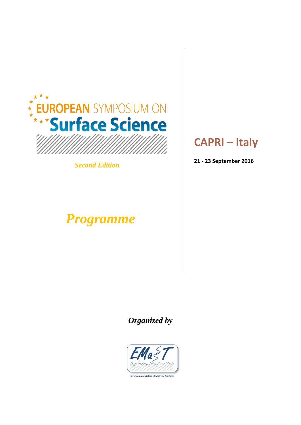

*Second Edition*

# *Programme*

# **CAPRI – Italy**

**21 - 23 September 2016**

 *Organized by*

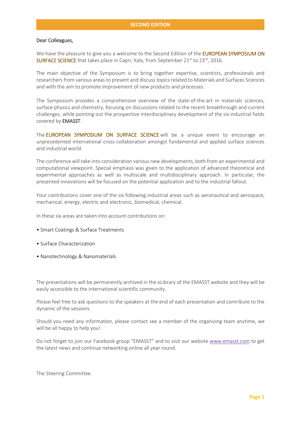#### Dear Colleagues,

We have the pleasure to give you a welcome to the Second Edition of the **EUROPEAN SYMPOSIUM ON SURFACE SCIENCE** that takes place in Capri, Italy, from September  $21^{st}$  to  $23^{rd}$ , 2016.

The main objective of the Symposium is to bring together expertise, scientists, professionals and researchers from various areas to present and discuss topics related to Materials and Surfaces Sciences and with the aim to promote improvement of new products and processes.

The Symposium provides a comprehensive overview of the state-of-the-art in materials sciences, surface physics and chemistry, focusing on discussions related to the recent breakthrough and current challenges, while pointing out the prospective interdisciplinary development of the six industrial fields covered by EMASST.

The **EUROPEAN SYMPOSIUM ON SURFACE SCIENCE** will be a unique event to encourage an unprecedented international cross-collaboration amongst fundamental and applied surface sciences and industrial world.

The conference will take into consideration various new developments, both from an experimental and computational viewpoint. Special emphasis was given to the application of advanced theoretical and experimental approaches as well as multiscale and multidisciplinary approach. In particular, the presented innovations will be focused on the potential application and to the industrial fallout.

Your contributions cover one of the six following industrial areas such as aeronautical and aerospace, mechanical, energy, electric and electronic, biomedical, chemical.

In these six areas are taken into account contributions on:

- Smart Coatings & Surface Treatments
- Surface Characterization
- Nanotechnology & Nanomaterials

The presentations will be permanently archived in the eLibrary of the EMASST website and they will be easily accessible to the international scientific community.

Please feel free to ask questions to the speakers at the end of each presentation and contribute to the dynamic of the sessions.

Should you need any information, please contact see a member of the organizing team anytime, we will be all happy to help you!

Do not forget to join our Facebook group "EMASST" and to visit our website [www.emasst.com](http://www.emasst.com/) to get the latest news and continue networking online all year round.

The Steering Committee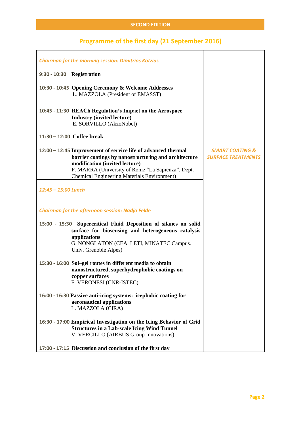# **Programme of the first day (21 September 2016)**

| <b>Chairman for the morning session: Dimitrios Kotzias</b>                                                                                                                                                                                                         |                                                         |
|--------------------------------------------------------------------------------------------------------------------------------------------------------------------------------------------------------------------------------------------------------------------|---------------------------------------------------------|
| 9:30 - 10:30 Registration                                                                                                                                                                                                                                          |                                                         |
| 10:30 - 10:45 Opening Ceremony & Welcome Addresses<br>L. MAZZOLA (President of EMASST)                                                                                                                                                                             |                                                         |
| 10:45 - 11:30 REACh Regulation's Impact on the Aerospace<br><b>Industry (invited lecture)</b><br>E. SORVILLO (AkzoNobel)                                                                                                                                           |                                                         |
| 11:30 - 12:00 Coffee break                                                                                                                                                                                                                                         |                                                         |
| 12:00 - 12:45 Improvement of service life of advanced thermal<br>barrier coatings by nanostructuring and architecture<br>modification (invited lecture)<br>F. MARRA (University of Rome "La Sapienza", Dept.<br><b>Chemical Engineering Materials Environment)</b> | <b>SMART COATING &amp;</b><br><b>SURFACE TREATMENTS</b> |
| 12:45 - 15:00 Lunch                                                                                                                                                                                                                                                |                                                         |
| <b>Chairman for the afternoon session: Nadja Felde</b>                                                                                                                                                                                                             |                                                         |
| 15:00 - 15:30 Supercritical Fluid Deposition of silanes on solid<br>surface for biosensing and heterogeneous catalysis<br>applications<br>G. NONGLATON (CEA, LETI, MINATEC Campus.<br>Univ. Grenoble Alpes)                                                        |                                                         |
| 15:30 - 16:00 Sol-gel routes in different media to obtain<br>nanostructured, superhydrophobic coatings on<br>copper surfaces<br>F. VERONESI (CNR-ISTEC)                                                                                                            |                                                         |
| 16:00 - 16:30 Passive anti-icing systems: icephobic coating for<br>aeronautical applications<br>L. MAZZOLA (CIRA)                                                                                                                                                  |                                                         |
| 16:30 - 17:00 Empirical Investigation on the Icing Behavior of Grid<br><b>Structures in a Lab-scale Icing Wind Tunnel</b><br>V. VERCILLO (AIRBUS Group Innovations)                                                                                                |                                                         |
| 17:00 - 17:15 Discussion and conclusion of the first day                                                                                                                                                                                                           |                                                         |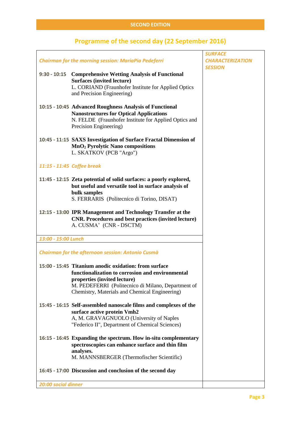### **Programme of the second day (22 September 2016)**

|                     |                                                                        | <b>SURFACE</b>                            |
|---------------------|------------------------------------------------------------------------|-------------------------------------------|
|                     | <b>Chairman for the morning session: MariaPia Pedeferri</b>            | <b>CHARACTERIZATION</b><br><b>SESSION</b> |
|                     | 9:30 - 10:15 Comprehensive Wetting Analysis of Functional              |                                           |
|                     | <b>Surfaces (invited lecture)</b>                                      |                                           |
|                     | L. CORIAND (Fraunhofer Institute for Applied Optics                    |                                           |
|                     | and Precision Engineering)                                             |                                           |
|                     |                                                                        |                                           |
|                     | 10:15 - 10:45 Advanced Roughness Analysis of Functional                |                                           |
|                     | <b>Nanostructures for Optical Applications</b>                         |                                           |
|                     | N. FELDE (Fraunhofer Institute for Applied Optics and                  |                                           |
|                     | Precision Engineering)                                                 |                                           |
|                     | 10:45 - 11:15 SAXS Investigation of Surface Fractal Dimension of       |                                           |
|                     | MnO <sub>2</sub> Pyrolytic Nano compositions                           |                                           |
|                     | L. SKATKOV (PCB "Argo")                                                |                                           |
|                     |                                                                        |                                           |
|                     | 11:15 - 11:45 Coffee break                                             |                                           |
|                     |                                                                        |                                           |
|                     | 11:45 - 12:15 Zeta potential of solid surfaces: a poorly explored,     |                                           |
|                     | but useful and versatile tool in surface analysis of                   |                                           |
|                     | bulk samples                                                           |                                           |
|                     | S. FERRARIS (Politecnico di Torino, DISAT)                             |                                           |
|                     | 12:15 - 13:00 IPR Management and Technology Transfer at the            |                                           |
|                     | <b>CNR.</b> Procedures and best practices (invited lecture)            |                                           |
|                     | A. CUSMA' (CNR - DSCTM)                                                |                                           |
|                     |                                                                        |                                           |
| 13:00 - 15:00 Lunch |                                                                        |                                           |
|                     | <b>Chairman for the afternoon session: Antonio Cusmà</b>               |                                           |
|                     |                                                                        |                                           |
|                     | 15:00 - 15:45 Titanium anodic oxidation: from surface                  |                                           |
|                     | functionalization to corrosion and environmental                       |                                           |
|                     | properties (invited lecture)                                           |                                           |
|                     | M. PEDEFERRI (Politecnico di Milano, Department of                     |                                           |
|                     | Chemistry, Materials and Chemical Engineering)                         |                                           |
|                     |                                                                        |                                           |
|                     | 15:45 - 16:15 Self-assembled nanoscale films and complexes of the      |                                           |
|                     | surface active protein Vmh2<br>A, M. GRAVAGNUOLO (University of Naples |                                           |
|                     | "Federico II", Department of Chemical Sciences)                        |                                           |
|                     |                                                                        |                                           |
|                     | 16:15 - 16:45 Expanding the spectrum. How in-situ complementary        |                                           |
|                     | spectroscopies can enhance surface and thin film                       |                                           |
|                     | analyses.                                                              |                                           |
|                     | M. MANNSBERGER (Thermofischer Scientific)                              |                                           |
|                     | 16:45 - 17:00 Discussion and conclusion of the second day              |                                           |
|                     |                                                                        |                                           |
|                     |                                                                        |                                           |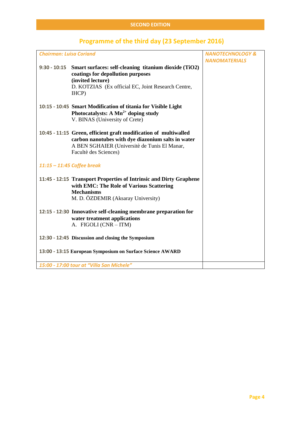| <b>Chairman: Luisa Coriand</b> |                                                                                                                                                                                                 | <b>NANOTECHNOLOGY &amp;</b> |
|--------------------------------|-------------------------------------------------------------------------------------------------------------------------------------------------------------------------------------------------|-----------------------------|
|                                |                                                                                                                                                                                                 | <b>NANOMATERIALS</b>        |
|                                | 9:30 - 10:15 Smart surfaces: self-cleaning titanium dioxide (TiO2)<br>coatings for depollution purposes<br>(invited lecture)<br>D. KOTZIAS (Ex official EC, Joint Research Centre,<br>IHCP)     |                             |
|                                | 10:15 - 10:45 Smart Modification of titania for Visible Light<br>Photocatalysts: A $Mn^{2+}$ doping study<br>V. BINAS (University of Crete)                                                     |                             |
|                                | 10:45 - 11:15 Green, efficient graft modification of multiwalled<br>carbon nanotubes with dye diazonium salts in water<br>A BEN SGHAIER (Universitè de Tunis El Manar,<br>Facultè des Sciences) |                             |
|                                | $11:15 - 11:45$ Coffee break                                                                                                                                                                    |                             |
|                                | 11:45 - 12:15 Transport Properties of Intrinsic and Dirty Graphene<br>with EMC: The Role of Various Scattering<br><b>Mechanisms</b><br>M. D. ÖZDEMIR (Aksaray University)                       |                             |
|                                | 12:15 - 12:30 Innovative self-cleaning membrane preparation for<br>water treatment applications<br>A. FIGOLI (CNR - ITM)                                                                        |                             |
|                                | 12:30 - 12:45 Discussion and closing the Symposium                                                                                                                                              |                             |
|                                | 13:00 - 13:15 European Symposium on Surface Science AWARD                                                                                                                                       |                             |
|                                | 15:00 - 17:00 tour at "Villa San Michele"                                                                                                                                                       |                             |

# **Programme of the third day (23 September 2016)**